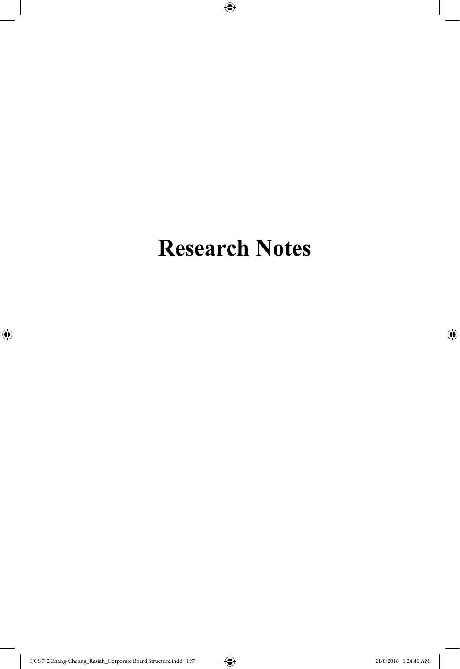# **Research Notes**

 $\bigoplus$ 

 $\bigoplus$ 

 $\bigoplus$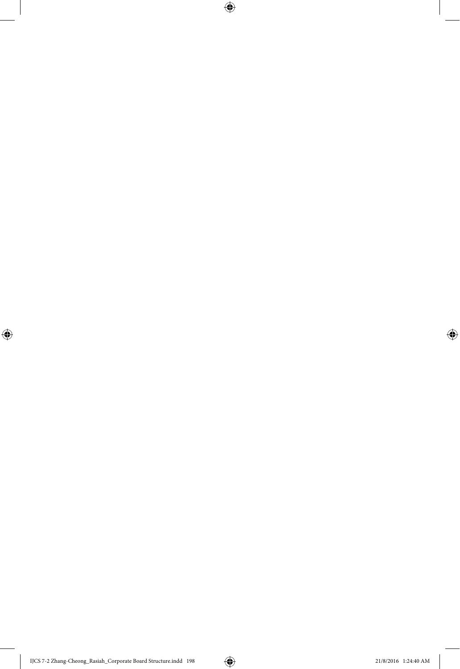

 $\overline{\phantom{a}}$ 

 $\bigoplus$ 

 $\bigoplus$ 

I

I

 $\bigoplus$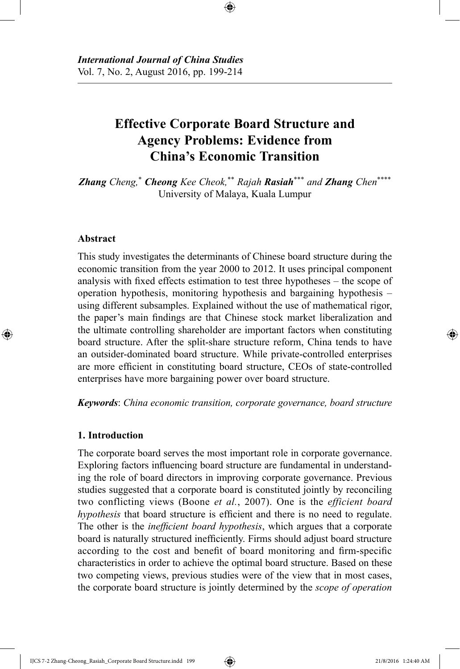## **Effective Corporate Board Structure and Agency Problems: Evidence from China's Economic Transition**

⊕

*Zhang Cheng,*\* *Cheong Kee Cheok,*\*\* *Rajah Rasiah*\*\*\* *and Zhang Chen*\*\*\*\* University of Malaya, Kuala Lumpur

#### **Abstract**

⊕

This study investigates the determinants of Chinese board structure during the economic transition from the year 2000 to 2012. It uses principal component analysis with fixed effects estimation to test three hypotheses – the scope of operation hypothesis, monitoring hypothesis and bargaining hypothesis – using different subsamples. Explained without the use of mathematical rigor, the paper's main findings are that Chinese stock market liberalization and the ultimate controlling shareholder are important factors when constituting board structure. After the split-share structure reform, China tends to have an outsider-dominated board structure. While private-controlled enterprises are more efficient in constituting board structure, CEOs of state-controlled enterprises have more bargaining power over board structure.

*Keywords*: *China economic transition, corporate governance, board structure*

#### **1. Introduction**

The corporate board serves the most important role in corporate governance. Exploring factors influencing board structure are fundamental in understanding the role of board directors in improving corporate governance. Previous studies suggested that a corporate board is constituted jointly by reconciling two conflicting views (Boone *et al.*, 2007). One is the *efficient board hypothesis* that board structure is efficient and there is no need to regulate. The other is the *inefficient board hypothesis*, which argues that a corporate board is naturally structured inefficiently. Firms should adjust board structure according to the cost and benefit of board monitoring and firm-specific characteristics in order to achieve the optimal board structure. Based on these two competing views, previous studies were of the view that in most cases, the corporate board structure is jointly determined by the *scope of operation* 

IJCS 7-2 Zhang-Cheong\_Rasiah\_Corporate Board Structure.indd 199 21/8/2016 1:24:40 AM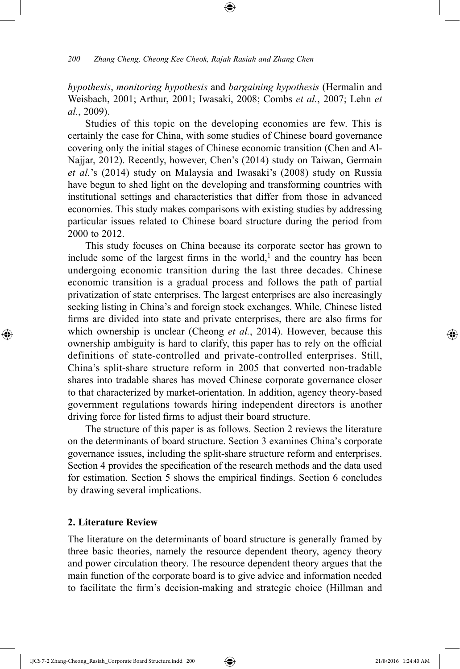*hypothesis*, *monitoring hypothesis* and *bargaining hypothesis* (Hermalin and Weisbach, 2001; Arthur, 2001; Iwasaki, 2008; Combs *et al.*, 2007; Lehn *et al.*, 2009).

⊕

Studies of this topic on the developing economies are few. This is certainly the case for China, with some studies of Chinese board governance covering only the initial stages of Chinese economic transition (Chen and Al-Najjar, 2012). Recently, however, Chen's (2014) study on Taiwan, Germain *et al.*'s (2014) study on Malaysia and Iwasaki's (2008) study on Russia have begun to shed light on the developing and transforming countries with institutional settings and characteristics that differ from those in advanced economies. This study makes comparisons with existing studies by addressing particular issues related to Chinese board structure during the period from 2000 to 2012.

This study focuses on China because its corporate sector has grown to include some of the largest firms in the world, $<sup>1</sup>$  and the country has been</sup> undergoing economic transition during the last three decades. Chinese economic transition is a gradual process and follows the path of partial privatization of state enterprises. The largest enterprises are also increasingly seeking listing in China's and foreign stock exchanges. While, Chinese listed firms are divided into state and private enterprises, there are also firms for which ownership is unclear (Cheong *et al.*, 2014). However, because this ownership ambiguity is hard to clarify, this paper has to rely on the official definitions of state-controlled and private-controlled enterprises. Still, China's split-share structure reform in 2005 that converted non-tradable shares into tradable shares has moved Chinese corporate governance closer to that characterized by market-orientation. In addition, agency theory-based government regulations towards hiring independent directors is another driving force for listed firms to adjust their board structure.

The structure of this paper is as follows. Section 2 reviews the literature on the determinants of board structure. Section 3 examines China's corporate governance issues, including the split-share structure reform and enterprises. Section 4 provides the specification of the research methods and the data used for estimation. Section 5 shows the empirical findings. Section 6 concludes by drawing several implications.

#### **2. Literature Review**

⊕

The literature on the determinants of board structure is generally framed by three basic theories, namely the resource dependent theory, agency theory and power circulation theory. The resource dependent theory argues that the main function of the corporate board is to give advice and information needed to facilitate the firm's decision-making and strategic choice (Hillman and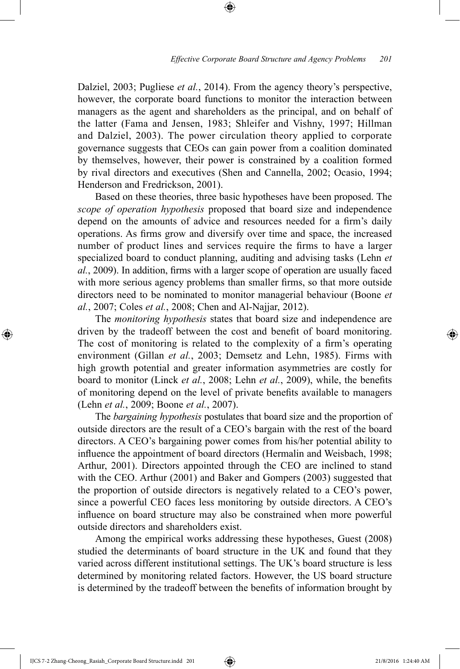Dalziel, 2003; Pugliese *et al.*, 2014). From the agency theory's perspective, however, the corporate board functions to monitor the interaction between managers as the agent and shareholders as the principal, and on behalf of the latter (Fama and Jensen, 1983; Shleifer and Vishny, 1997; Hillman and Dalziel, 2003). The power circulation theory applied to corporate governance suggests that CEOs can gain power from a coalition dominated by themselves, however, their power is constrained by a coalition formed by rival directors and executives (Shen and Cannella, 2002; Ocasio, 1994; Henderson and Fredrickson, 2001).

⊕

Based on these theories, three basic hypotheses have been proposed. The *scope of operation hypothesis* proposed that board size and independence depend on the amounts of advice and resources needed for a firm's daily operations. As firms grow and diversify over time and space, the increased number of product lines and services require the firms to have a larger specialized board to conduct planning, auditing and advising tasks (Lehn *et al.*, 2009). In addition, firms with a larger scope of operation are usually faced with more serious agency problems than smaller firms, so that more outside directors need to be nominated to monitor managerial behaviour (Boone *et al.*, 2007; Coles *et al.*, 2008; Chen and Al-Najjar, 2012).

The *monitoring hypothesis* states that board size and independence are driven by the tradeoff between the cost and benefit of board monitoring. The cost of monitoring is related to the complexity of a firm's operating environment (Gillan *et al.*, 2003; Demsetz and Lehn, 1985). Firms with high growth potential and greater information asymmetries are costly for board to monitor (Linck *et al.*, 2008; Lehn *et al.*, 2009), while, the benefits of monitoring depend on the level of private benefits available to managers (Lehn *et al.*, 2009; Boone *et al.*, 2007).

The *bargaining hypothesis* postulates that board size and the proportion of outside directors are the result of a CEO's bargain with the rest of the board directors. A CEO's bargaining power comes from his/her potential ability to influence the appointment of board directors (Hermalin and Weisbach, 1998; Arthur, 2001). Directors appointed through the CEO are inclined to stand with the CEO. Arthur (2001) and Baker and Gompers (2003) suggested that the proportion of outside directors is negatively related to a CEO's power, since a powerful CEO faces less monitoring by outside directors. A CEO's influence on board structure may also be constrained when more powerful outside directors and shareholders exist.

Among the empirical works addressing these hypotheses, Guest (2008) studied the determinants of board structure in the UK and found that they varied across different institutional settings. The UK's board structure is less determined by monitoring related factors. However, the US board structure is determined by the tradeoff between the benefits of information brought by

IJCS 7-2 Zhang-Cheong\_Rasiah\_Corporate Board Structure.indd 201 21/8/2016 1:24:40 AM

⊕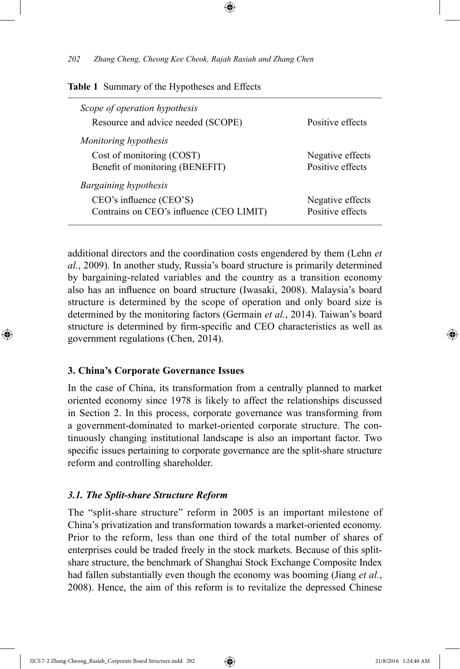| Scope of operation hypothesis            |                  |
|------------------------------------------|------------------|
| Resource and advice needed (SCOPE)       | Positive effects |
| Monitoring hypothesis                    |                  |
| Cost of monitoring (COST)                | Negative effects |
| Benefit of monitoring (BENEFIT)          | Positive effects |
| Bargaining hypothesis                    |                  |
| CEO's influence (CEO'S)                  | Negative effects |
| Contrains on CEO's influence (CEO LIMIT) | Positive effects |
|                                          |                  |

⊕

**Table 1** Summary of the Hypotheses and Effects

additional directors and the coordination costs engendered by them (Lehn *et al.*, 2009). In another study, Russia's board structure is primarily determined by bargaining-related variables and the country as a transition economy also has an influence on board structure (Iwasaki, 2008). Malaysia's board structure is determined by the scope of operation and only board size is determined by the monitoring factors (Germain *et al.*, 2014). Taiwan's board structure is determined by firm-specific and CEO characteristics as well as government regulations (Chen, 2014).

#### **3. China's Corporate Governance Issues**

 $\bigoplus$ 

In the case of China, its transformation from a centrally planned to market oriented economy since 1978 is likely to affect the relationships discussed in Section 2. In this process, corporate governance was transforming from a government-dominated to market-oriented corporate structure. The continuously changing institutional landscape is also an important factor. Two specific issues pertaining to corporate governance are the split-share structure reform and controlling shareholder.

#### *3.1. The Split-share Structure Reform*

The "split-share structure" reform in 2005 is an important milestone of China's privatization and transformation towards a market-oriented economy. Prior to the reform, less than one third of the total number of shares of enterprises could be traded freely in the stock markets. Because of this splitshare structure, the benchmark of Shanghai Stock Exchange Composite Index had fallen substantially even though the economy was booming (Jiang *et al.*, 2008). Hence, the aim of this reform is to revitalize the depressed Chinese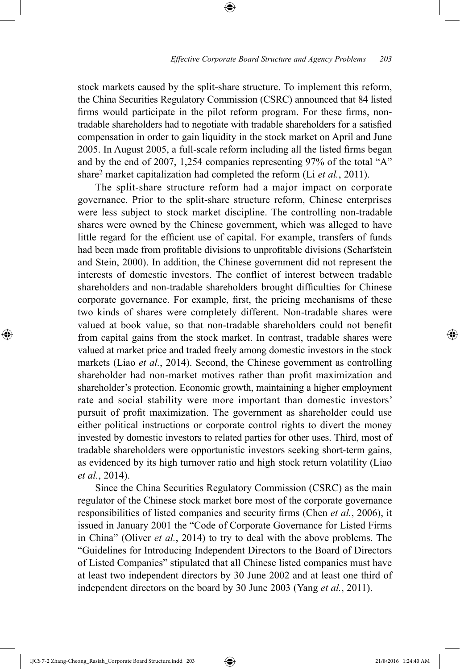stock markets caused by the split-share structure. To implement this reform, the China Securities Regulatory Commission (CSRC) announced that 84 listed firms would participate in the pilot reform program. For these firms, nontradable shareholders had to negotiate with tradable shareholders for a satisfied compensation in order to gain liquidity in the stock market on April and June 2005. In August 2005, a full-scale reform including all the listed firms began and by the end of 2007, 1,254 companies representing 97% of the total "A" share2 market capitalization had completed the reform (Li *et al.*, 2011).

⊕

The split-share structure reform had a major impact on corporate governance. Prior to the split-share structure reform, Chinese enterprises were less subject to stock market discipline. The controlling non-tradable shares were owned by the Chinese government, which was alleged to have little regard for the efficient use of capital. For example, transfers of funds had been made from profitable divisions to unprofitable divisions (Scharfstein and Stein, 2000). In addition, the Chinese government did not represent the interests of domestic investors. The conflict of interest between tradable shareholders and non-tradable shareholders brought difficulties for Chinese corporate governance. For example, first, the pricing mechanisms of these two kinds of shares were completely different. Non-tradable shares were valued at book value, so that non-tradable shareholders could not benefit from capital gains from the stock market. In contrast, tradable shares were valued at market price and traded freely among domestic investors in the stock markets (Liao *et al.*, 2014). Second, the Chinese government as controlling shareholder had non-market motives rather than profit maximization and shareholder's protection. Economic growth, maintaining a higher employment rate and social stability were more important than domestic investors' pursuit of profit maximization. The government as shareholder could use either political instructions or corporate control rights to divert the money invested by domestic investors to related parties for other uses. Third, most of tradable shareholders were opportunistic investors seeking short-term gains, as evidenced by its high turnover ratio and high stock return volatility (Liao *et al.*, 2014).

Since the China Securities Regulatory Commission (CSRC) as the main regulator of the Chinese stock market bore most of the corporate governance responsibilities of listed companies and security firms (Chen *et al.*, 2006), it issued in January 2001 the "Code of Corporate Governance for Listed Firms in China" (Oliver *et al.*, 2014) to try to deal with the above problems. The "Guidelines for Introducing Independent Directors to the Board of Directors of Listed Companies" stipulated that all Chinese listed companies must have at least two independent directors by 30 June 2002 and at least one third of independent directors on the board by 30 June 2003 (Yang *et al.*, 2011).

IJCS 7-2 Zhang-Cheong\_Rasiah\_Corporate Board Structure.indd 203 21/8/2016 1:24:40 AM

⊕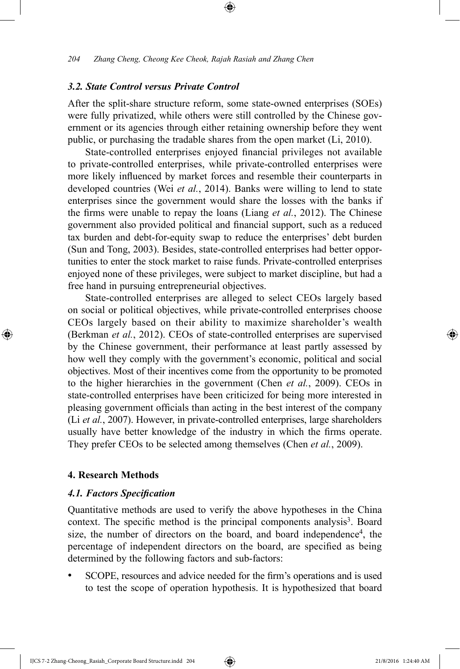#### *3.2. State Control versus Private Control*

After the split-share structure reform, some state-owned enterprises (SOEs) were fully privatized, while others were still controlled by the Chinese government or its agencies through either retaining ownership before they went public, or purchasing the tradable shares from the open market (Li, 2010).

⊕

State-controlled enterprises enjoyed financial privileges not available to private-controlled enterprises, while private-controlled enterprises were more likely influenced by market forces and resemble their counterparts in developed countries (Wei *et al.*, 2014). Banks were willing to lend to state enterprises since the government would share the losses with the banks if the firms were unable to repay the loans (Liang *et al.*, 2012). The Chinese government also provided political and financial support, such as a reduced tax burden and debt-for-equity swap to reduce the enterprises' debt burden (Sun and Tong, 2003). Besides, state-controlled enterprises had better opportunities to enter the stock market to raise funds. Private-controlled enterprises enjoyed none of these privileges, were subject to market discipline, but had a free hand in pursuing entrepreneurial objectives.

State-controlled enterprises are alleged to select CEOs largely based on social or political objectives, while private-controlled enterprises choose CEOs largely based on their ability to maximize shareholder's wealth (Berkman *et al.*, 2012). CEOs of state-controlled enterprises are supervised by the Chinese government, their performance at least partly assessed by how well they comply with the government's economic, political and social objectives. Most of their incentives come from the opportunity to be promoted to the higher hierarchies in the government (Chen *et al.*, 2009). CEOs in state-controlled enterprises have been criticized for being more interested in pleasing government officials than acting in the best interest of the company (Li *et al.*, 2007). However, in private-controlled enterprises, large shareholders usually have better knowledge of the industry in which the firms operate. They prefer CEOs to be selected among themselves (Chen *et al.*, 2009).

#### **4. Research Methods**

⊕

#### *4.1. Factors Specification*

Quantitative methods are used to verify the above hypotheses in the China context. The specific method is the principal components analysis<sup>3</sup>. Board size, the number of directors on the board, and board independence<sup>4</sup>, the percentage of independent directors on the board, are specified as being determined by the following factors and sub-factors:

• SCOPE, resources and advice needed for the firm's operations and is used to test the scope of operation hypothesis. It is hypothesized that board

IJCS 7-2 Zhang-Cheong\_Rasiah\_Corporate Board Structure.indd 204 21/8/2016 1:24:40 AM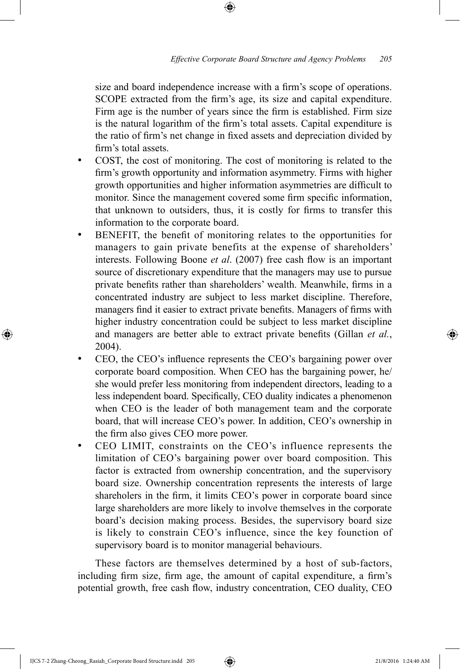size and board independence increase with a firm's scope of operations. SCOPE extracted from the firm's age, its size and capital expenditure. Firm age is the number of years since the firm is established. Firm size is the natural logarithm of the firm's total assets. Capital expenditure is the ratio of firm's net change in fixed assets and depreciation divided by firm's total assets.

⊕

- COST, the cost of monitoring. The cost of monitoring is related to the firm's growth opportunity and information asymmetry. Firms with higher growth opportunities and higher information asymmetries are difficult to monitor. Since the management covered some firm specific information, that unknown to outsiders, thus, it is costly for firms to transfer this information to the corporate board.
- BENEFIT, the benefit of monitoring relates to the opportunities for managers to gain private benefits at the expense of shareholders' interests. Following Boone *et al*. (2007) free cash flow is an important source of discretionary expenditure that the managers may use to pursue private benefits rather than shareholders' wealth. Meanwhile, firms in a concentrated industry are subject to less market discipline. Therefore, managers find it easier to extract private benefits. Managers of firms with higher industry concentration could be subject to less market discipline and managers are better able to extract private benefits (Gillan *et al.*, 2004).
- CEO, the CEO's influence represents the CEO's bargaining power over corporate board composition. When CEO has the bargaining power, he/ she would prefer less monitoring from independent directors, leading to a less independent board. Specifically, CEO duality indicates a phenomenon when CEO is the leader of both management team and the corporate board, that will increase CEO's power. In addition, CEO's ownership in the firm also gives CEO more power.
- CEO LIMIT, constraints on the CEO's influence represents the limitation of CEO's bargaining power over board composition. This factor is extracted from ownership concentration, and the supervisory board size. Ownership concentration represents the interests of large shareholers in the firm, it limits CEO's power in corporate board since large shareholders are more likely to involve themselves in the corporate board's decision making process. Besides, the supervisory board size is likely to constrain CEO's influence, since the key founction of supervisory board is to monitor managerial behaviours.

These factors are themselves determined by a host of sub-factors, including firm size, firm age, the amount of capital expenditure, a firm's potential growth, free cash flow, industry concentration, CEO duality, CEO

IJCS 7-2 Zhang-Cheong\_Rasiah\_Corporate Board Structure.indd 205 21/8/2016 1:24:40 AM

⊕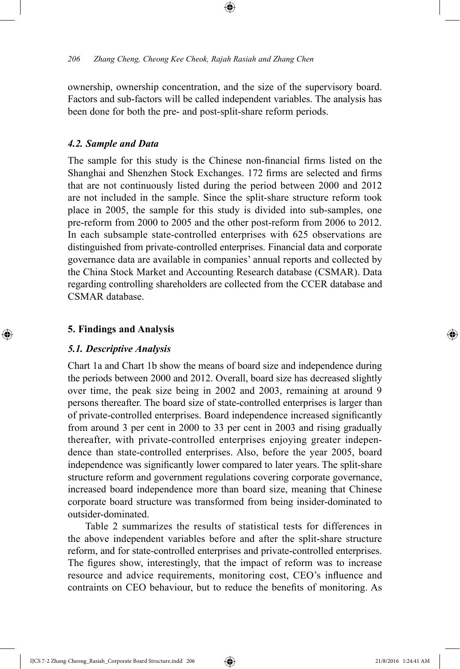ownership, ownership concentration, and the size of the supervisory board. Factors and sub-factors will be called independent variables. The analysis has been done for both the pre- and post-split-share reform periods.

⊕

### *4.2. Sample and Data*

The sample for this study is the Chinese non-financial firms listed on the Shanghai and Shenzhen Stock Exchanges. 172 firms are selected and firms that are not continuously listed during the period between 2000 and 2012 are not included in the sample. Since the split-share structure reform took place in 2005, the sample for this study is divided into sub-samples, one pre-reform from 2000 to 2005 and the other post-reform from 2006 to 2012. In each subsample state-controlled enterprises with 625 observations are distinguished from private-controlled enterprises. Financial data and corporate governance data are available in companies' annual reports and collected by the China Stock Market and Accounting Research database (CSMAR). Data regarding controlling shareholders are collected from the CCER database and CSMAR database.

#### **5. Findings and Analysis**

⊕

#### *5.1. Descriptive Analysis*

Chart 1a and Chart 1b show the means of board size and independence during the periods between 2000 and 2012. Overall, board size has decreased slightly over time, the peak size being in 2002 and 2003, remaining at around 9 persons thereafter. The board size of state-controlled enterprises is larger than of private-controlled enterprises. Board independence increased significantly from around 3 per cent in 2000 to 33 per cent in 2003 and rising gradually thereafter, with private-controlled enterprises enjoying greater independence than state-controlled enterprises. Also, before the year 2005, board independence was significantly lower compared to later years. The split-share structure reform and government regulations covering corporate governance, increased board independence more than board size, meaning that Chinese corporate board structure was transformed from being insider-dominated to outsider-dominated.

Table 2 summarizes the results of statistical tests for differences in the above independent variables before and after the split-share structure reform, and for state-controlled enterprises and private-controlled enterprises. The figures show, interestingly, that the impact of reform was to increase resource and advice requirements, monitoring cost, CEO's influence and contraints on CEO behaviour, but to reduce the benefits of monitoring. As

IJCS 7-2 Zhang-Cheong\_Rasiah\_Corporate Board Structure.indd 206 21/8/2016 1:24:41 AM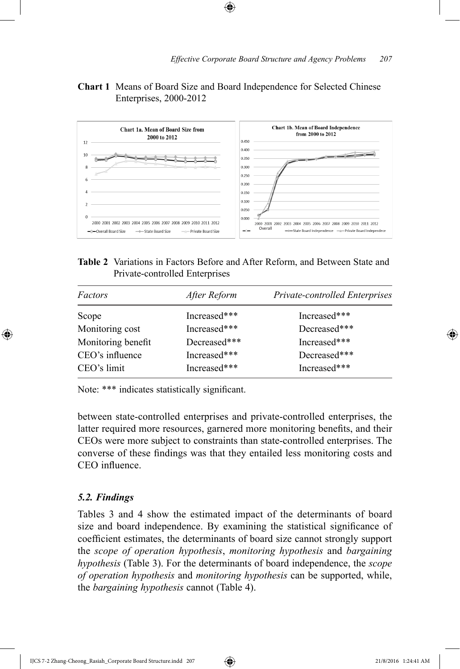

⊕



| <b>Table 2</b> Variations in Factors Before and After Reform, and Between State and |  |
|-------------------------------------------------------------------------------------|--|
| Private-controlled Enterprises                                                      |  |

| Factors            | After Reform | Private-controlled Enterprises |
|--------------------|--------------|--------------------------------|
| Scope              | Increased*** | Increased***                   |
| Monitoring cost    | Increased*** | Decreased***                   |
| Monitoring benefit | Decreased*** | Increased***                   |
| CEO's influence    | Increased*** | Decreased***                   |
| CEO's limit        | Increased*** | Increased***                   |

Note: \*\*\* indicates statistically significant.

between state-controlled enterprises and private-controlled enterprises, the latter required more resources, garnered more monitoring benefits, and their CEOs were more subject to constraints than state-controlled enterprises. The converse of these findings was that they entailed less monitoring costs and CEO influence.

#### *5.2. Findings*

⊕

Tables 3 and 4 show the estimated impact of the determinants of board size and board independence. By examining the statistical significance of coefficient estimates, the determinants of board size cannot strongly support the *scope of operation hypothesis*, *monitoring hypothesis* and *bargaining hypothesis* (Table 3). For the determinants of board independence, the *scope of operation hypothesis* and *monitoring hypothesis* can be supported, while, the *bargaining hypothesis* cannot (Table 4).

IJCS 7-2 Zhang-Cheong\_Rasiah\_Corporate Board Structure.indd 207 21/8/2016 1:24:41 AM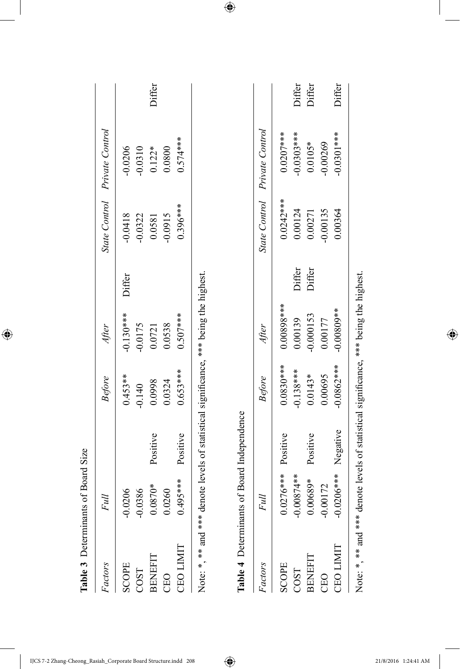|                 | Table 3 Determinants of Board Size                                                    |          |               |             |        |             |                               |        |
|-----------------|---------------------------------------------------------------------------------------|----------|---------------|-------------|--------|-------------|-------------------------------|--------|
| Factors         | Full                                                                                  |          | <b>Before</b> | After       |        |             | State Control Private Control |        |
| SCOPE           | $-0.0206$                                                                             |          | $0.453**$     | $-0.130***$ | Differ | 0.0418      | $-0.0206$                     |        |
| COST            | $-0.0386$                                                                             |          | $-0.140$      | $-0.0175$   |        | $-0.0322$   | $-0.0310$                     |        |
| <b>BENEFIT</b>  | $0.0870*$                                                                             | Positive | 0.0998        | 0.0721      |        | 0.0581      | $0.122*$                      | Differ |
| CEO             | 0.0260                                                                                |          | 0.0324        | 0.0538      |        | $-0.0915$   | 0.0800                        |        |
| <b>TIMIT OE</b> | 0.495***                                                                              | Positive | $0.653***$    | $0.507***$  |        | $0.396***$  | $0.574***$                    |        |
|                 | Note: *, ** and *** denote levels of statistical significance, *** being the highest. |          |               |             |        |             |                               |        |
|                 | Table 4 Determinants of Board Independence                                            |          |               |             |        |             |                               |        |
| Factors         | Full                                                                                  |          | <b>Before</b> | After       |        |             | State Control Private Control |        |
| <b>SCOPE</b>    | $0.0276***$                                                                           | Positive | $0.0830***$   | 0.00898***  |        | $0.0242***$ | $0.0207***$                   |        |
| <b>COST</b>     | $-0.00874**$                                                                          |          | $-0.138***$   | 0.00139     | Differ | 0.00124     | $-0.0303***$                  | Differ |
| BENEFI          | $0.00689**$                                                                           | Positive | $0.0143*$     | $-0.000153$ | Differ | 0.00271     | $0.0105*$                     | Differ |

 $\bigoplus$ 

 $\bigoplus$ 

| actors          | Full                  |          | <b>Before</b> | After        |        |             | State Control Private Control |               |
|-----------------|-----------------------|----------|---------------|--------------|--------|-------------|-------------------------------|---------------|
| <b>SCOPE</b>    | $0.0276***$ Positive  |          | $0.0830***$   | $0.00898***$ |        | $0.0242***$ | $0.0207***$                   |               |
| COST            | $-0.00874**$          |          | $-0.138***$   | 0.00139      | Differ | 0.00124     | $0.0303***$                   | <b>Differ</b> |
| BENEFIT         | $0.00689*$            | Positive | $0.0143*$     | 0.000153     | Differ | 0.00271     | $0.0105*$                     | Differ        |
| CEO             | $-0.00172$            |          | 0.00695       | 0.00177      |        | 0.00135     | 0.00269                       |               |
| <b>TIMIT OE</b> | $-0.0206***$ Negative |          | $-0.0862***$  | $-0.00809**$ |        | 0.00364     | $-0.0301***$                  | Differ        |

Dernig une mignesi. Note: \*, \*\* and \*\*\* denote levels of statistical significance, \*\*\* being the highest. utai sigiilitailte, siturs 5 נוטי  $\frac{5}{2}$ dinning ₫ , INUIC.

 $\bigoplus$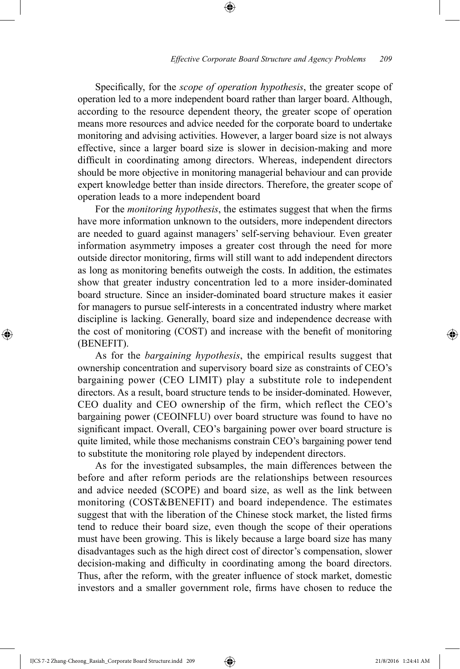#### *Effective Corporate Board Structure and Agency Problems 209*

Specifically, for the *scope of operation hypothesis*, the greater scope of operation led to a more independent board rather than larger board. Although, according to the resource dependent theory, the greater scope of operation means more resources and advice needed for the corporate board to undertake monitoring and advising activities. However, a larger board size is not always effective, since a larger board size is slower in decision-making and more difficult in coordinating among directors. Whereas, independent directors should be more objective in monitoring managerial behaviour and can provide expert knowledge better than inside directors. Therefore, the greater scope of operation leads to a more independent board

⊕

For the *monitoring hypothesis*, the estimates suggest that when the firms have more information unknown to the outsiders, more independent directors are needed to guard against managers' self-serving behaviour. Even greater information asymmetry imposes a greater cost through the need for more outside director monitoring, firms will still want to add independent directors as long as monitoring benefits outweigh the costs. In addition, the estimates show that greater industry concentration led to a more insider-dominated board structure. Since an insider-dominated board structure makes it easier for managers to pursue self-interests in a concentrated industry where market discipline is lacking. Generally, board size and independence decrease with the cost of monitoring (COST) and increase with the benefit of monitoring (BENEFIT).

As for the *bargaining hypothesis*, the empirical results suggest that ownership concentration and supervisory board size as constraints of CEO's bargaining power (CEO LIMIT) play a substitute role to independent directors. As a result, board structure tends to be insider-dominated. However, CEO duality and CEO ownership of the firm, which reflect the CEO's bargaining power (CEOINFLU) over board structure was found to have no significant impact. Overall, CEO's bargaining power over board structure is quite limited, while those mechanisms constrain CEO's bargaining power tend to substitute the monitoring role played by independent directors.

As for the investigated subsamples, the main differences between the before and after reform periods are the relationships between resources and advice needed (SCOPE) and board size, as well as the link between monitoring (COST&BENEFIT) and board independence. The estimates suggest that with the liberation of the Chinese stock market, the listed firms tend to reduce their board size, even though the scope of their operations must have been growing. This is likely because a large board size has many disadvantages such as the high direct cost of director's compensation, slower decision-making and difficulty in coordinating among the board directors. Thus, after the reform, with the greater influence of stock market, domestic investors and a smaller government role, firms have chosen to reduce the

IJCS 7-2 Zhang-Cheong\_Rasiah\_Corporate Board Structure.indd 209 21/8/2016 1:24:41 AM

⊕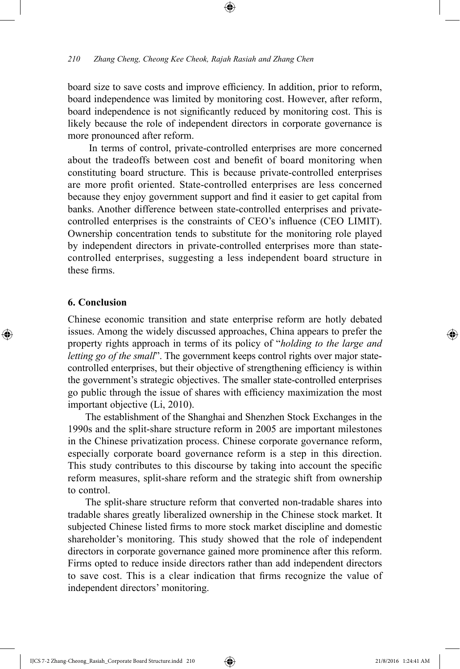board size to save costs and improve efficiency. In addition, prior to reform, board independence was limited by monitoring cost. However, after reform, board independence is not significantly reduced by monitoring cost. This is likely because the role of independent directors in corporate governance is more pronounced after reform.

⊕

 In terms of control, private-controlled enterprises are more concerned about the tradeoffs between cost and benefit of board monitoring when constituting board structure. This is because private-controlled enterprises are more profit oriented. State-controlled enterprises are less concerned because they enjoy government support and find it easier to get capital from banks. Another difference between state-controlled enterprises and privatecontrolled enterprises is the constraints of CEO's influence (CEO LIMIT). Ownership concentration tends to substitute for the monitoring role played by independent directors in private-controlled enterprises more than statecontrolled enterprises, suggesting a less independent board structure in these firms.

#### **6. Conclusion**

 $\bigoplus$ 

Chinese economic transition and state enterprise reform are hotly debated issues. Among the widely discussed approaches, China appears to prefer the property rights approach in terms of its policy of "*holding to the large and letting go of the small*". The government keeps control rights over major statecontrolled enterprises, but their objective of strengthening efficiency is within the government's strategic objectives. The smaller state-controlled enterprises go public through the issue of shares with efficiency maximization the most important objective (Li, 2010).

The establishment of the Shanghai and Shenzhen Stock Exchanges in the 1990s and the split-share structure reform in 2005 are important milestones in the Chinese privatization process. Chinese corporate governance reform, especially corporate board governance reform is a step in this direction. This study contributes to this discourse by taking into account the specific reform measures, split-share reform and the strategic shift from ownership to control.

The split-share structure reform that converted non-tradable shares into tradable shares greatly liberalized ownership in the Chinese stock market. It subjected Chinese listed firms to more stock market discipline and domestic shareholder's monitoring. This study showed that the role of independent directors in corporate governance gained more prominence after this reform. Firms opted to reduce inside directors rather than add independent directors to save cost. This is a clear indication that firms recognize the value of independent directors' monitoring.

IJCS 7-2 Zhang-Cheong\_Rasiah\_Corporate Board Structure.indd 210 21/8/2016 1:24:41 AM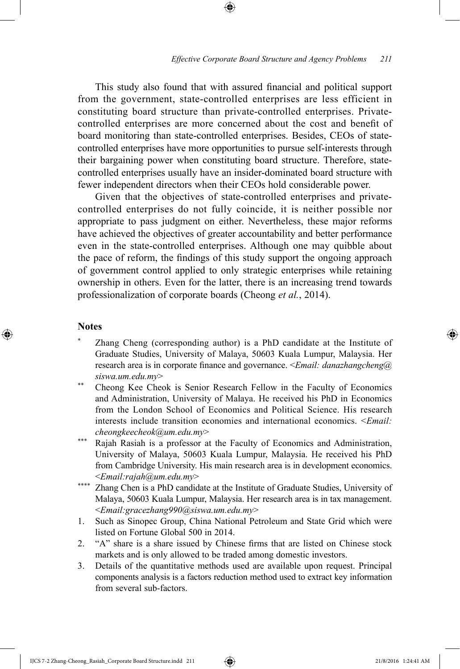This study also found that with assured financial and political support from the government, state-controlled enterprises are less efficient in constituting board structure than private-controlled enterprises. Privatecontrolled enterprises are more concerned about the cost and benefit of board monitoring than state-controlled enterprises. Besides, CEOs of statecontrolled enterprises have more opportunities to pursue self-interests through their bargaining power when constituting board structure. Therefore, statecontrolled enterprises usually have an insider-dominated board structure with fewer independent directors when their CEOs hold considerable power.

Given that the objectives of state-controlled enterprises and privatecontrolled enterprises do not fully coincide, it is neither possible nor appropriate to pass judgment on either. Nevertheless, these major reforms have achieved the objectives of greater accountability and better performance even in the state-controlled enterprises. Although one may quibble about the pace of reform, the findings of this study support the ongoing approach of government control applied to only strategic enterprises while retaining ownership in others. Even for the latter, there is an increasing trend towards professionalization of corporate boards (Cheong *et al.*, 2014).

### **Notes**

⊕

- Zhang Cheng (corresponding author) is a PhD candidate at the Institute of Graduate Studies, University of Malaya, 50603 Kuala Lumpur, Malaysia. Her research area is in corporate finance and governance. <*Email: danazhangcheng@ siswa.um.edu.my*>
- Cheong Kee Cheok is Senior Research Fellow in the Faculty of Economics and Administration, University of Malaya. He received his PhD in Economics from the London School of Economics and Political Science. His research interests include transition economies and international economics. <*Email: cheongkeecheok@um.edu.my*>
- Rajah Rasiah is a professor at the Faculty of Economics and Administration, University of Malaya, 50603 Kuala Lumpur, Malaysia. He received his PhD from Cambridge University. His main research area is in development economics.
- <sup>&</sup>lt;*Email:rajah@um.edu.my*> \*\*\*\* Zhang Chen is a PhD candidate at the Institute of Graduate Studies, University of Malaya, 50603 Kuala Lumpur, Malaysia. Her research area is in tax management. <*Email:gracezhang990@siswa.um.edu.my*>
- 1. Such as Sinopec Group, China National Petroleum and State Grid which were listed on Fortune Global 500 in 2014.
- 2. "A" share is a share issued by Chinese firms that are listed on Chinese stock markets and is only allowed to be traded among domestic investors.
- 3. Details of the quantitative methods used are available upon request. Principal components analysis is a factors reduction method used to extract key information from several sub-factors.

IJCS 7-2 Zhang-Cheong\_Rasiah\_Corporate Board Structure.indd 211 21/8/2016 1:24:41 AM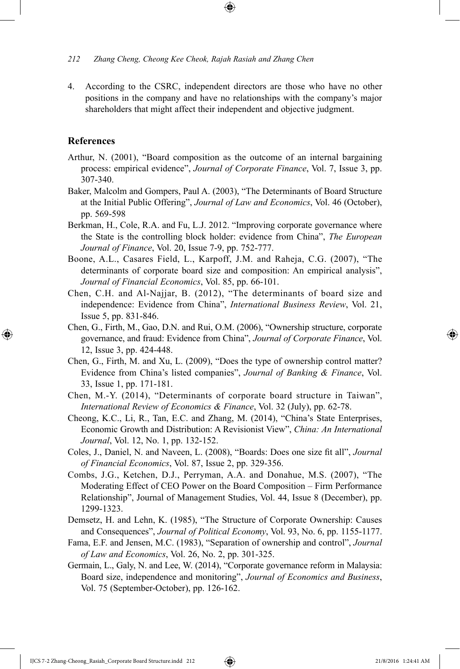4. According to the CSRC, independent directors are those who have no other positions in the company and have no relationships with the company's major shareholders that might affect their independent and objective judgment.

#### **References**

↔

- Arthur, N. (2001), "Board composition as the outcome of an internal bargaining process: empirical evidence", *Journal of Corporate Finance*, Vol. 7, Issue 3, pp. 307-340.
- Baker, Malcolm and Gompers, Paul A. (2003), "The Determinants of Board Structure at the Initial Public Offering", *Journal of Law and Economics*, Vol. 46 (October), pp. 569-598
- Berkman, H., Cole, R.A. and Fu, L.J. 2012. "Improving corporate governance where the State is the controlling block holder: evidence from China", *The European Journal of Finance*, Vol. 20, Issue 7-9, pp. 752-777.
- Boone, A.L., Casares Field, L., Karpoff, J.M. and Raheja, C.G. (2007), "The determinants of corporate board size and composition: An empirical analysis", *Journal of Financial Economics*, Vol. 85, pp. 66-101.
- Chen, C.H. and Al-Najjar, B. (2012), "The determinants of board size and independence: Evidence from China", *International Business Review*, Vol. 21, Issue 5, pp. 831-846.
- Chen, G., Firth, M., Gao, D.N. and Rui, O.M. (2006), "Ownership structure, corporate governance, and fraud: Evidence from China", *Journal of Corporate Finance*, Vol. 12, Issue 3, pp. 424-448.
- Chen, G., Firth, M. and Xu, L. (2009), "Does the type of ownership control matter? Evidence from China's listed companies", *Journal of Banking & Finance*, Vol. 33, Issue 1, pp. 171-181.
- Chen, M.-Y. (2014), "Determinants of corporate board structure in Taiwan", *International Review of Economics & Finance*, Vol. 32 (July), pp. 62-78.
- Cheong, K.C., Li, R., Tan, E.C. and Zhang, M. (2014), "China's State Enterprises, Economic Growth and Distribution: A Revisionist View", *China: An International Journal*, Vol. 12, No. 1, pp. 132-152.
- Coles, J., Daniel, N. and Naveen, L. (2008), "Boards: Does one size fit all", *Journal of Financial Economics*, Vol. 87, Issue 2, pp. 329-356.
- Combs, J.G., Ketchen, D.J., Perryman, A.A. and Donahue, M.S. (2007), "The Moderating Effect of CEO Power on the Board Composition – Firm Performance Relationship", Journal of Management Studies, Vol. 44, Issue 8 (December), pp. 1299-1323.
- Demsetz, H. and Lehn, K. (1985), "The Structure of Corporate Ownership: Causes and Consequences", *Journal of Political Economy*, Vol. 93, No. 6, pp. 1155-1177.
- Fama, E.F. and Jensen, M.C. (1983), "Separation of ownership and control", *Journal of Law and Economics*, Vol. 26, No. 2, pp. 301-325.
- Germain, L., Galy, N. and Lee, W. (2014), "Corporate governance reform in Malaysia: Board size, independence and monitoring", *Journal of Economics and Business*, Vol. 75 (September-October), pp. 126-162.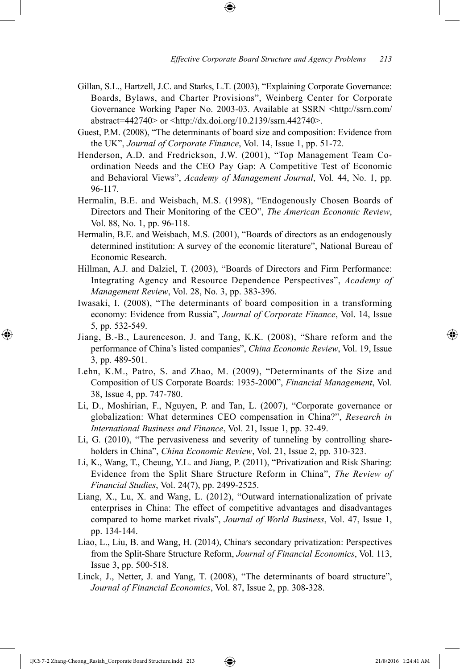- Gillan, S.L., Hartzell, J.C. and Starks, L.T. (2003), "Explaining Corporate Governance: Boards, Bylaws, and Charter Provisions", Weinberg Center for Corporate Governance Working Paper No. 2003-03. Available at SSRN <http://ssrn.com/ abstract=442740> or <http://dx.doi.org/10.2139/ssrn.442740>.
- Guest, P.M. (2008), "The determinants of board size and composition: Evidence from the UK", *Journal of Corporate Finance*, Vol. 14, Issue 1, pp. 51-72.
- Henderson, A.D. and Fredrickson, J.W. (2001), "Top Management Team Coordination Needs and the CEO Pay Gap: A Competitive Test of Economic and Behavioral Views", *Academy of Management Journal*, Vol. 44, No. 1, pp. 96-117.
- Hermalin, B.E. and Weisbach, M.S. (1998), "Endogenously Chosen Boards of Directors and Their Monitoring of the CEO", *The American Economic Review*, Vol. 88, No. 1, pp. 96-118.
- Hermalin, B.E. and Weisbach, M.S. (2001), "Boards of directors as an endogenously determined institution: A survey of the economic literature", National Bureau of Economic Research.
- Hillman, A.J. and Dalziel, T. (2003), "Boards of Directors and Firm Performance: Integrating Agency and Resource Dependence Perspectives", *Academy of Management Review*, Vol. 28, No. 3, pp. 383-396.
- Iwasaki, I. (2008), "The determinants of board composition in a transforming economy: Evidence from Russia", *Journal of Corporate Finance*, Vol. 14, Issue 5, pp. 532-549.
- Jiang, B.-B., Laurenceson, J. and Tang, K.K. (2008), "Share reform and the performance of China's listed companies", *China Economic Review*, Vol. 19, Issue 3, pp. 489-501.
- Lehn, K.M., Patro, S. and Zhao, M. (2009), "Determinants of the Size and Composition of US Corporate Boards: 1935-2000", *Financial Management*, Vol. 38, Issue 4, pp. 747-780.
- Li, D., Moshirian, F., Nguyen, P. and Tan, L. (2007), "Corporate governance or globalization: What determines CEO compensation in China?", *Research in International Business and Finance*, Vol. 21, Issue 1, pp. 32-49.
- Li, G. (2010), "The pervasiveness and severity of tunneling by controlling shareholders in China", *China Economic Review*, Vol. 21, Issue 2, pp. 310-323.
- Li, K., Wang, T., Cheung, Y.L. and Jiang, P. (2011), "Privatization and Risk Sharing: Evidence from the Split Share Structure Reform in China", *The Review of Financial Studies*, Vol. 24(7), pp. 2499-2525.
- Liang, X., Lu, X. and Wang, L. (2012), "Outward internationalization of private enterprises in China: The effect of competitive advantages and disadvantages compared to home market rivals", *Journal of World Business*, Vol. 47, Issue 1, pp. 134-144.
- Liao, L., Liu, B. and Wang, H. (2014), China׳s secondary privatization: Perspectives from the Split-Share Structure Reform, *Journal of Financial Economics*, Vol. 113, Issue 3, pp. 500-518.
- Linck, J., Netter, J. and Yang, T. (2008), "The determinants of board structure", *Journal of Financial Economics*, Vol. 87, Issue 2, pp. 308-328.

IJCS 7-2 Zhang-Cheong\_Rasiah\_Corporate Board Structure.indd 213 21/8/2016 1:24:41 AM

⊕